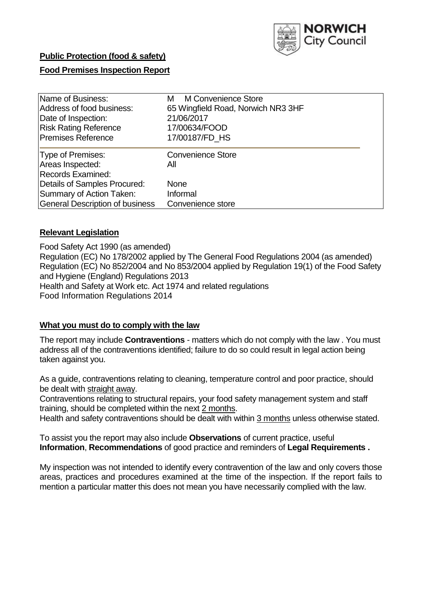

## **Public Protection (food & safety)**

## **Food Premises Inspection Report**

| Name of Business:               | M Convenience Store<br>м           |  |  |  |  |  |  |
|---------------------------------|------------------------------------|--|--|--|--|--|--|
| Address of food business:       | 65 Wingfield Road, Norwich NR3 3HF |  |  |  |  |  |  |
| Date of Inspection:             | 21/06/2017                         |  |  |  |  |  |  |
| <b>Risk Rating Reference</b>    | 17/00634/FOOD                      |  |  |  |  |  |  |
| <b>Premises Reference</b>       | 17/00187/FD HS                     |  |  |  |  |  |  |
| Type of Premises:               | <b>Convenience Store</b>           |  |  |  |  |  |  |
| Areas Inspected:                | All                                |  |  |  |  |  |  |
| <b>Records Examined:</b>        |                                    |  |  |  |  |  |  |
| Details of Samples Procured:    | <b>None</b>                        |  |  |  |  |  |  |
| Summary of Action Taken:        | Informal                           |  |  |  |  |  |  |
| General Description of business | Convenience store                  |  |  |  |  |  |  |

## **Relevant Legislation**

Food Safety Act 1990 (as amended) Regulation (EC) No 178/2002 applied by The General Food Regulations 2004 (as amended) Regulation (EC) No 852/2004 and No 853/2004 applied by Regulation 19(1) of the Food Safety and Hygiene (England) Regulations 2013 Health and Safety at Work etc. Act 1974 and related regulations Food Information Regulations 2014

## **What you must do to comply with the law**

The report may include **Contraventions** - matters which do not comply with the law . You must address all of the contraventions identified; failure to do so could result in legal action being taken against you.

As a guide, contraventions relating to cleaning, temperature control and poor practice, should be dealt with straight away.

Contraventions relating to structural repairs, your food safety management system and staff training, should be completed within the next 2 months.

Health and safety contraventions should be dealt with within 3 months unless otherwise stated.

To assist you the report may also include **Observations** of current practice, useful **Information**, **Recommendations** of good practice and reminders of **Legal Requirements .**

My inspection was not intended to identify every contravention of the law and only covers those areas, practices and procedures examined at the time of the inspection. If the report fails to mention a particular matter this does not mean you have necessarily complied with the law.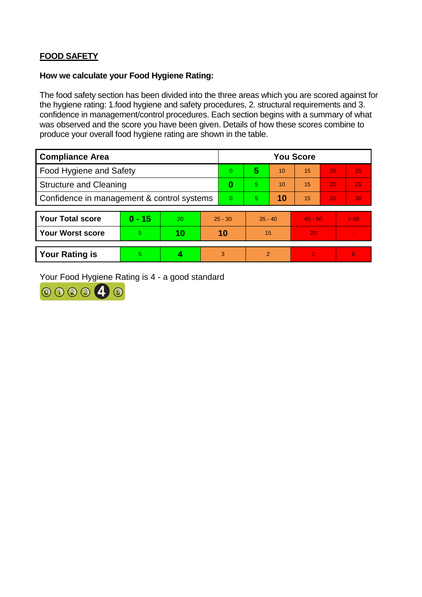# **FOOD SAFETY**

## **How we calculate your Food Hygiene Rating:**

The food safety section has been divided into the three areas which you are scored against for the hygiene rating: 1.food hygiene and safety procedures, 2. structural requirements and 3. confidence in management/control procedures. Each section begins with a summary of what was observed and the score you have been given. Details of how these scores combine to produce your overall food hygiene rating are shown in the table.

| <b>Compliance Area</b>                     |          |    |           | <b>You Score</b> |                |    |           |    |                |  |  |
|--------------------------------------------|----------|----|-----------|------------------|----------------|----|-----------|----|----------------|--|--|
| Food Hygiene and Safety                    |          |    |           | 0                | 5              | 10 | 15        | 20 | 25             |  |  |
| <b>Structure and Cleaning</b>              |          |    |           | $\bf{0}$         | 5              | 10 | 15        | 20 | 25             |  |  |
| Confidence in management & control systems |          |    | $\Omega$  | $\overline{5}$   | 10             | 15 | 20        | 30 |                |  |  |
|                                            |          |    |           |                  |                |    |           |    |                |  |  |
| <b>Your Total score</b>                    | $0 - 15$ | 20 | $25 - 30$ |                  | $35 - 40$      |    | $45 - 50$ |    | > 50           |  |  |
| <b>Your Worst score</b>                    | 5        | 10 | 10        |                  | 15             |    | 20        |    | $\blacksquare$ |  |  |
|                                            |          |    |           |                  |                |    |           |    |                |  |  |
| <b>Your Rating is</b>                      | 5        |    |           | 3                | $\overline{2}$ |    |           |    | $\overline{0}$ |  |  |

Your Food Hygiene Rating is 4 - a good standard

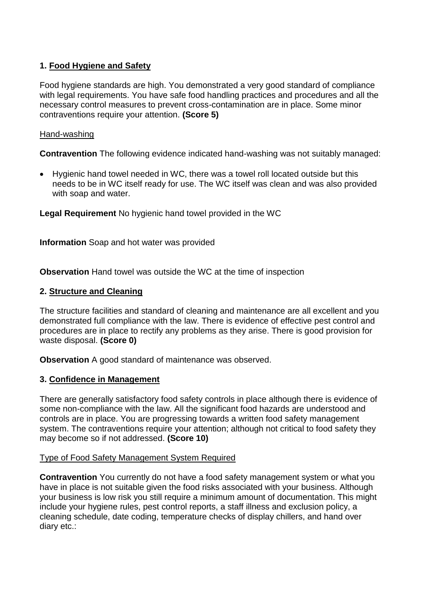## **1. Food Hygiene and Safety**

Food hygiene standards are high. You demonstrated a very good standard of compliance with legal requirements. You have safe food handling practices and procedures and all the necessary control measures to prevent cross-contamination are in place. Some minor contraventions require your attention. **(Score 5)**

## Hand-washing

**Contravention** The following evidence indicated hand-washing was not suitably managed:

 Hygienic hand towel needed in WC, there was a towel roll located outside but this needs to be in WC itself ready for use. The WC itself was clean and was also provided with soap and water.

**Legal Requirement** No hygienic hand towel provided in the WC

**Information** Soap and hot water was provided

**Observation** Hand towel was outside the WC at the time of inspection

## **2. Structure and Cleaning**

The structure facilities and standard of cleaning and maintenance are all excellent and you demonstrated full compliance with the law. There is evidence of effective pest control and procedures are in place to rectify any problems as they arise. There is good provision for waste disposal. **(Score 0)**

**Observation** A good standard of maintenance was observed.

## **3. Confidence in Management**

There are generally satisfactory food safety controls in place although there is evidence of some non-compliance with the law. All the significant food hazards are understood and controls are in place. You are progressing towards a written food safety management system. The contraventions require your attention; although not critical to food safety they may become so if not addressed. **(Score 10)**

## Type of Food Safety Management System Required

**Contravention** You currently do not have a food safety management system or what you have in place is not suitable given the food risks associated with your business. Although your business is low risk you still require a minimum amount of documentation. This might include your hygiene rules, pest control reports, a staff illness and exclusion policy, a cleaning schedule, date coding, temperature checks of display chillers, and hand over diary etc.: